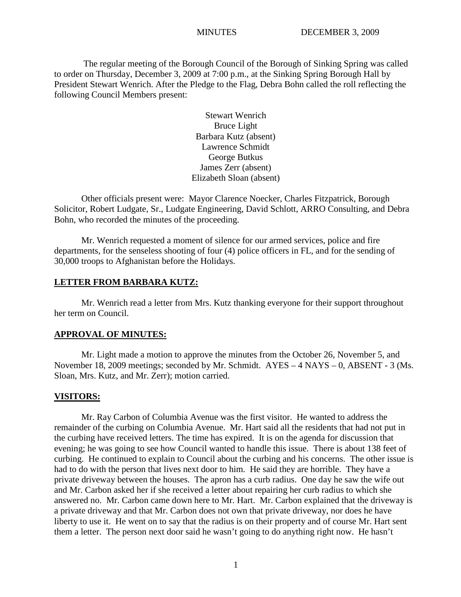The regular meeting of the Borough Council of the Borough of Sinking Spring was called to order on Thursday, December 3, 2009 at 7:00 p.m., at the Sinking Spring Borough Hall by President Stewart Wenrich. After the Pledge to the Flag, Debra Bohn called the roll reflecting the following Council Members present:

> Stewart Wenrich Bruce Light Barbara Kutz (absent) Lawrence Schmidt George Butkus James Zerr (absent) Elizabeth Sloan (absent)

Other officials present were: Mayor Clarence Noecker, Charles Fitzpatrick, Borough Solicitor, Robert Ludgate, Sr., Ludgate Engineering, David Schlott, ARRO Consulting, and Debra Bohn, who recorded the minutes of the proceeding.

Mr. Wenrich requested a moment of silence for our armed services, police and fire departments, for the senseless shooting of four (4) police officers in FL, and for the sending of 30,000 troops to Afghanistan before the Holidays.

#### **LETTER FROM BARBARA KUTZ:**

 Mr. Wenrich read a letter from Mrs. Kutz thanking everyone for their support throughout her term on Council.

## **APPROVAL OF MINUTES:**

Mr. Light made a motion to approve the minutes from the October 26, November 5, and November 18, 2009 meetings; seconded by Mr. Schmidt. AYES – 4 NAYS – 0, ABSENT - 3 (Ms. Sloan, Mrs. Kutz, and Mr. Zerr); motion carried.

#### **VISITORS:**

Mr. Ray Carbon of Columbia Avenue was the first visitor. He wanted to address the remainder of the curbing on Columbia Avenue. Mr. Hart said all the residents that had not put in the curbing have received letters. The time has expired. It is on the agenda for discussion that evening; he was going to see how Council wanted to handle this issue. There is about 138 feet of curbing. He continued to explain to Council about the curbing and his concerns. The other issue is had to do with the person that lives next door to him. He said they are horrible. They have a private driveway between the houses. The apron has a curb radius. One day he saw the wife out and Mr. Carbon asked her if she received a letter about repairing her curb radius to which she answered no. Mr. Carbon came down here to Mr. Hart. Mr. Carbon explained that the driveway is a private driveway and that Mr. Carbon does not own that private driveway, nor does he have liberty to use it. He went on to say that the radius is on their property and of course Mr. Hart sent them a letter. The person next door said he wasn't going to do anything right now. He hasn't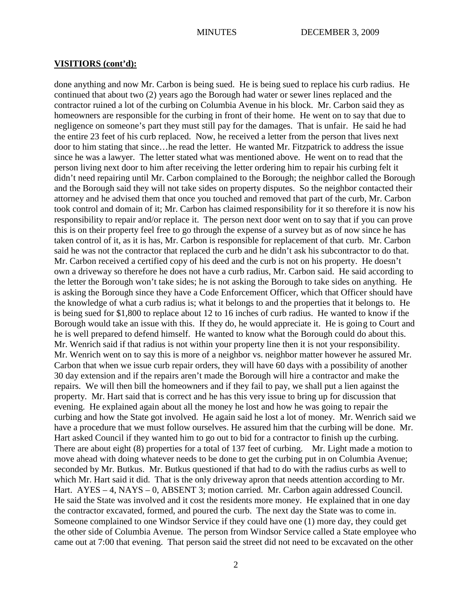#### **VISITIORS (cont'd):**

done anything and now Mr. Carbon is being sued. He is being sued to replace his curb radius. He continued that about two (2) years ago the Borough had water or sewer lines replaced and the contractor ruined a lot of the curbing on Columbia Avenue in his block. Mr. Carbon said they as homeowners are responsible for the curbing in front of their home. He went on to say that due to negligence on someone's part they must still pay for the damages. That is unfair. He said he had the entire 23 feet of his curb replaced. Now, he received a letter from the person that lives next door to him stating that since…he read the letter. He wanted Mr. Fitzpatrick to address the issue since he was a lawyer. The letter stated what was mentioned above. He went on to read that the person living next door to him after receiving the letter ordering him to repair his curbing felt it didn't need repairing until Mr. Carbon complained to the Borough; the neighbor called the Borough and the Borough said they will not take sides on property disputes. So the neighbor contacted their attorney and he advised them that once you touched and removed that part of the curb, Mr. Carbon took control and domain of it; Mr. Carbon has claimed responsibility for it so therefore it is now his responsibility to repair and/or replace it. The person next door went on to say that if you can prove this is on their property feel free to go through the expense of a survey but as of now since he has taken control of it, as it is has, Mr. Carbon is responsible for replacement of that curb. Mr. Carbon said he was not the contractor that replaced the curb and he didn't ask his subcontractor to do that. Mr. Carbon received a certified copy of his deed and the curb is not on his property. He doesn't own a driveway so therefore he does not have a curb radius, Mr. Carbon said. He said according to the letter the Borough won't take sides; he is not asking the Borough to take sides on anything. He is asking the Borough since they have a Code Enforcement Officer, which that Officer should have the knowledge of what a curb radius is; what it belongs to and the properties that it belongs to. He is being sued for \$1,800 to replace about 12 to 16 inches of curb radius. He wanted to know if the Borough would take an issue with this. If they do, he would appreciate it. He is going to Court and he is well prepared to defend himself. He wanted to know what the Borough could do about this. Mr. Wenrich said if that radius is not within your property line then it is not your responsibility. Mr. Wenrich went on to say this is more of a neighbor vs. neighbor matter however he assured Mr. Carbon that when we issue curb repair orders, they will have 60 days with a possibility of another 30 day extension and if the repairs aren't made the Borough will hire a contractor and make the repairs. We will then bill the homeowners and if they fail to pay, we shall put a lien against the property. Mr. Hart said that is correct and he has this very issue to bring up for discussion that evening. He explained again about all the money he lost and how he was going to repair the curbing and how the State got involved. He again said he lost a lot of money. Mr. Wenrich said we have a procedure that we must follow ourselves. He assured him that the curbing will be done. Mr. Hart asked Council if they wanted him to go out to bid for a contractor to finish up the curbing. There are about eight (8) properties for a total of 137 feet of curbing. Mr. Light made a motion to move ahead with doing whatever needs to be done to get the curbing put in on Columbia Avenue; seconded by Mr. Butkus. Mr. Butkus questioned if that had to do with the radius curbs as well to which Mr. Hart said it did. That is the only driveway apron that needs attention according to Mr. Hart. AYES – 4, NAYS – 0, ABSENT 3; motion carried. Mr. Carbon again addressed Council. He said the State was involved and it cost the residents more money. He explained that in one day the contractor excavated, formed, and poured the curb. The next day the State was to come in. Someone complained to one Windsor Service if they could have one (1) more day, they could get the other side of Columbia Avenue. The person from Windsor Service called a State employee who came out at 7:00 that evening. That person said the street did not need to be excavated on the other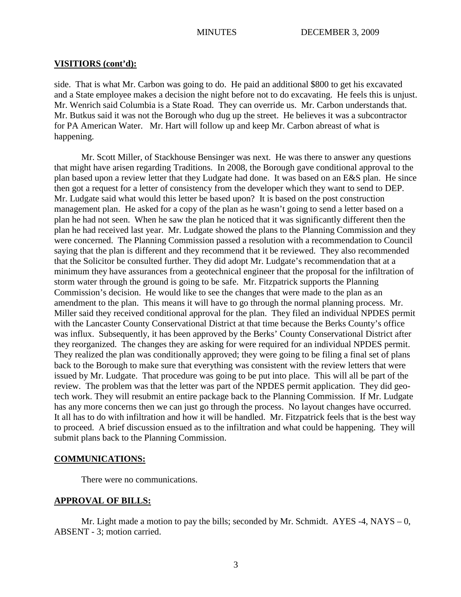## **VISITIORS (cont'd):**

side. That is what Mr. Carbon was going to do. He paid an additional \$800 to get his excavated and a State employee makes a decision the night before not to do excavating. He feels this is unjust. Mr. Wenrich said Columbia is a State Road. They can override us. Mr. Carbon understands that. Mr. Butkus said it was not the Borough who dug up the street. He believes it was a subcontractor for PA American Water. Mr. Hart will follow up and keep Mr. Carbon abreast of what is happening.

Mr. Scott Miller, of Stackhouse Bensinger was next. He was there to answer any questions that might have arisen regarding Traditions. In 2008, the Borough gave conditional approval to the plan based upon a review letter that they Ludgate had done. It was based on an E&S plan. He since then got a request for a letter of consistency from the developer which they want to send to DEP. Mr. Ludgate said what would this letter be based upon? It is based on the post construction management plan. He asked for a copy of the plan as he wasn't going to send a letter based on a plan he had not seen. When he saw the plan he noticed that it was significantly different then the plan he had received last year. Mr. Ludgate showed the plans to the Planning Commission and they were concerned. The Planning Commission passed a resolution with a recommendation to Council saying that the plan is different and they recommend that it be reviewed. They also recommended that the Solicitor be consulted further. They did adopt Mr. Ludgate's recommendation that at a minimum they have assurances from a geotechnical engineer that the proposal for the infiltration of storm water through the ground is going to be safe. Mr. Fitzpatrick supports the Planning Commission's decision. He would like to see the changes that were made to the plan as an amendment to the plan. This means it will have to go through the normal planning process. Mr. Miller said they received conditional approval for the plan. They filed an individual NPDES permit with the Lancaster County Conservational District at that time because the Berks County's office was influx. Subsequently, it has been approved by the Berks' County Conservational District after they reorganized. The changes they are asking for were required for an individual NPDES permit. They realized the plan was conditionally approved; they were going to be filing a final set of plans back to the Borough to make sure that everything was consistent with the review letters that were issued by Mr. Ludgate. That procedure was going to be put into place. This will all be part of the review. The problem was that the letter was part of the NPDES permit application. They did geotech work. They will resubmit an entire package back to the Planning Commission. If Mr. Ludgate has any more concerns then we can just go through the process. No layout changes have occurred. It all has to do with infiltration and how it will be handled. Mr. Fitzpatrick feels that is the best way to proceed. A brief discussion ensued as to the infiltration and what could be happening. They will submit plans back to the Planning Commission.

## **COMMUNICATIONS:**

There were no communications.

## **APPROVAL OF BILLS:**

Mr. Light made a motion to pay the bills; seconded by Mr. Schmidt. AYES -4, NAYS – 0, ABSENT - 3; motion carried.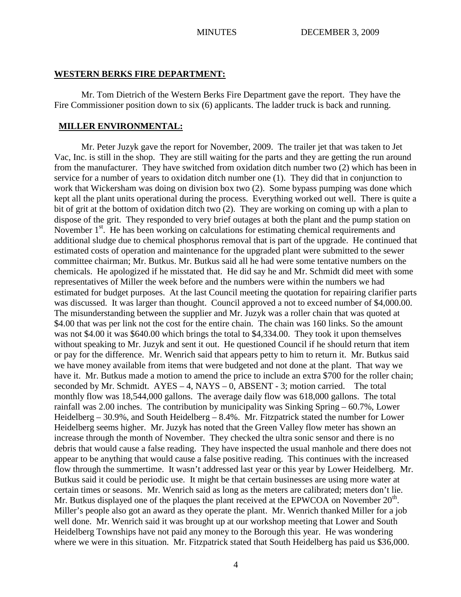#### **WESTERN BERKS FIRE DEPARTMENT:**

Mr. Tom Dietrich of the Western Berks Fire Department gave the report. They have the Fire Commissioner position down to six (6) applicants. The ladder truck is back and running.

#### **MILLER ENVIRONMENTAL:**

Mr. Peter Juzyk gave the report for November, 2009. The trailer jet that was taken to Jet Vac, Inc. is still in the shop. They are still waiting for the parts and they are getting the run around from the manufacturer. They have switched from oxidation ditch number two (2) which has been in service for a number of years to oxidation ditch number one (1). They did that in conjunction to work that Wickersham was doing on division box two (2). Some bypass pumping was done which kept all the plant units operational during the process. Everything worked out well. There is quite a bit of grit at the bottom of oxidation ditch two (2). They are working on coming up with a plan to dispose of the grit. They responded to very brief outages at both the plant and the pump station on November 1<sup>st</sup>. He has been working on calculations for estimating chemical requirements and additional sludge due to chemical phosphorus removal that is part of the upgrade. He continued that estimated costs of operation and maintenance for the upgraded plant were submitted to the sewer committee chairman; Mr. Butkus. Mr. Butkus said all he had were some tentative numbers on the chemicals. He apologized if he misstated that. He did say he and Mr. Schmidt did meet with some representatives of Miller the week before and the numbers were within the numbers we had estimated for budget purposes. At the last Council meeting the quotation for repairing clarifier parts was discussed. It was larger than thought. Council approved a not to exceed number of \$4,000.00. The misunderstanding between the supplier and Mr. Juzyk was a roller chain that was quoted at \$4.00 that was per link not the cost for the entire chain. The chain was 160 links. So the amount was not \$4.00 it was \$640.00 which brings the total to \$4,334.00. They took it upon themselves without speaking to Mr. Juzyk and sent it out. He questioned Council if he should return that item or pay for the difference. Mr. Wenrich said that appears petty to him to return it. Mr. Butkus said we have money available from items that were budgeted and not done at the plant. That way we have it. Mr. Butkus made a motion to amend the price to include an extra \$700 for the roller chain; seconded by Mr. Schmidt.  $AYES - 4$ ,  $NAYS - 0$ ,  $ABSENT - 3$ ; motion carried. The total monthly flow was 18,544,000 gallons. The average daily flow was 618,000 gallons. The total rainfall was 2.00 inches. The contribution by municipality was Sinking Spring – 60.7%, Lower Heidelberg – 30.9%, and South Heidelberg – 8.4%. Mr. Fitzpatrick stated the number for Lower Heidelberg seems higher. Mr. Juzyk has noted that the Green Valley flow meter has shown an increase through the month of November. They checked the ultra sonic sensor and there is no debris that would cause a false reading. They have inspected the usual manhole and there does not appear to be anything that would cause a false positive reading. This continues with the increased flow through the summertime. It wasn't addressed last year or this year by Lower Heidelberg. Mr. Butkus said it could be periodic use. It might be that certain businesses are using more water at certain times or seasons. Mr. Wenrich said as long as the meters are calibrated; meters don't lie. Mr. Butkus displayed one of the plaques the plant received at the EPWCOA on November  $20<sup>th</sup>$ . Miller's people also got an award as they operate the plant. Mr. Wenrich thanked Miller for a job well done. Mr. Wenrich said it was brought up at our workshop meeting that Lower and South Heidelberg Townships have not paid any money to the Borough this year. He was wondering where we were in this situation. Mr. Fitzpatrick stated that South Heidelberg has paid us \$36,000.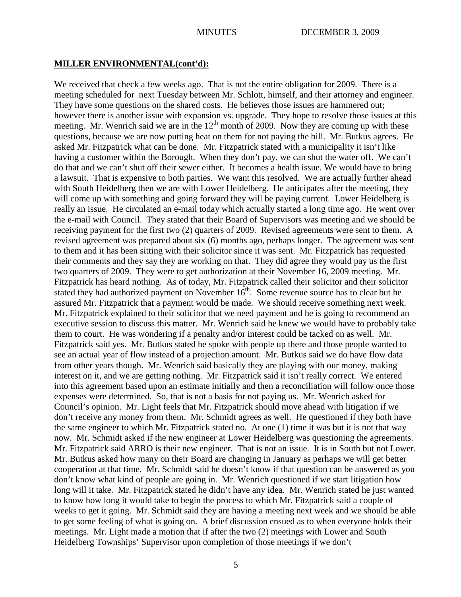#### **MILLER ENVIRONMENTAL(cont'd):**

We received that check a few weeks ago. That is not the entire obligation for 2009. There is a meeting scheduled for next Tuesday between Mr. Schlott, himself, and their attorney and engineer. They have some questions on the shared costs. He believes those issues are hammered out; however there is another issue with expansion vs. upgrade. They hope to resolve those issues at this meeting. Mr. Wenrich said we are in the  $12<sup>th</sup>$  month of 2009. Now they are coming up with these questions, because we are now putting heat on them for not paying the bill. Mr. Butkus agrees. He asked Mr. Fitzpatrick what can be done. Mr. Fitzpatrick stated with a municipality it isn't like having a customer within the Borough. When they don't pay, we can shut the water off. We can't do that and we can't shut off their sewer either. It becomes a health issue. We would have to bring a lawsuit. That is expensive to both parties. We want this resolved. We are actually further ahead with South Heidelberg then we are with Lower Heidelberg. He anticipates after the meeting, they will come up with something and going forward they will be paying current. Lower Heidelberg is really an issue. He circulated an e-mail today which actually started a long time ago. He went over the e-mail with Council. They stated that their Board of Supervisors was meeting and we should be receiving payment for the first two (2) quarters of 2009. Revised agreements were sent to them. A revised agreement was prepared about six (6) months ago, perhaps longer. The agreement was sent to them and it has been sitting with their solicitor since it was sent. Mr. Fitzpatrick has requested their comments and they say they are working on that. They did agree they would pay us the first two quarters of 2009. They were to get authorization at their November 16, 2009 meeting. Mr. Fitzpatrick has heard nothing. As of today, Mr. Fitzpatrick called their solicitor and their solicitor stated they had authorized payment on November  $16<sup>th</sup>$ . Some revenue source has to clear but he assured Mr. Fitzpatrick that a payment would be made. We should receive something next week. Mr. Fitzpatrick explained to their solicitor that we need payment and he is going to recommend an executive session to discuss this matter. Mr. Wenrich said he knew we would have to probably take them to court. He was wondering if a penalty and/or interest could be tacked on as well. Mr. Fitzpatrick said yes. Mr. Butkus stated he spoke with people up there and those people wanted to see an actual year of flow instead of a projection amount. Mr. Butkus said we do have flow data from other years though. Mr. Wenrich said basically they are playing with our money, making interest on it, and we are getting nothing. Mr. Fitzpatrick said it isn't really correct. We entered into this agreement based upon an estimate initially and then a reconciliation will follow once those expenses were determined. So, that is not a basis for not paying us. Mr. Wenrich asked for Council's opinion. Mr. Light feels that Mr. Fitzpatrick should move ahead with litigation if we don't receive any money from them. Mr. Schmidt agrees as well. He questioned if they both have the same engineer to which Mr. Fitzpatrick stated no. At one (1) time it was but it is not that way now. Mr. Schmidt asked if the new engineer at Lower Heidelberg was questioning the agreements. Mr. Fitzpatrick said ARRO is their new engineer. That is not an issue. It is in South but not Lower. Mr. Butkus asked how many on their Board are changing in January as perhaps we will get better cooperation at that time. Mr. Schmidt said he doesn't know if that question can be answered as you don't know what kind of people are going in. Mr. Wenrich questioned if we start litigation how long will it take. Mr. Fitzpatrick stated he didn't have any idea. Mr. Wenrich stated he just wanted to know how long it would take to begin the process to which Mr. Fitzpatrick said a couple of weeks to get it going. Mr. Schmidt said they are having a meeting next week and we should be able to get some feeling of what is going on. A brief discussion ensued as to when everyone holds their meetings. Mr. Light made a motion that if after the two (2) meetings with Lower and South Heidelberg Townships' Supervisor upon completion of those meetings if we don't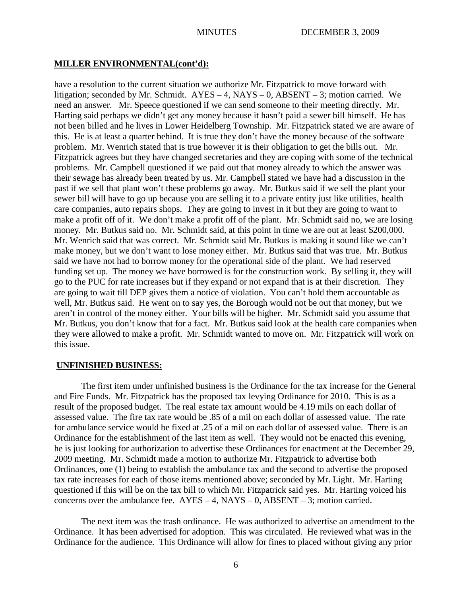### **MILLER ENVIRONMENTAL(cont'd):**

have a resolution to the current situation we authorize Mr. Fitzpatrick to move forward with litigation; seconded by Mr. Schmidt.  $AYES - 4$ ,  $NAYS - 0$ ,  $ABSENT - 3$ ; motion carried. We need an answer. Mr. Speece questioned if we can send someone to their meeting directly. Mr. Harting said perhaps we didn't get any money because it hasn't paid a sewer bill himself. He has not been billed and he lives in Lower Heidelberg Township. Mr. Fitzpatrick stated we are aware of this. He is at least a quarter behind. It is true they don't have the money because of the software problem. Mr. Wenrich stated that is true however it is their obligation to get the bills out. Mr. Fitzpatrick agrees but they have changed secretaries and they are coping with some of the technical problems. Mr. Campbell questioned if we paid out that money already to which the answer was their sewage has already been treated by us. Mr. Campbell stated we have had a discussion in the past if we sell that plant won't these problems go away. Mr. Butkus said if we sell the plant your sewer bill will have to go up because you are selling it to a private entity just like utilities, health care companies, auto repairs shops. They are going to invest in it but they are going to want to make a profit off of it. We don't make a profit off of the plant. Mr. Schmidt said no, we are losing money. Mr. Butkus said no. Mr. Schmidt said, at this point in time we are out at least \$200,000. Mr. Wenrich said that was correct. Mr. Schmidt said Mr. Butkus is making it sound like we can't make money, but we don't want to lose money either. Mr. Butkus said that was true. Mr. Butkus said we have not had to borrow money for the operational side of the plant. We had reserved funding set up. The money we have borrowed is for the construction work. By selling it, they will go to the PUC for rate increases but if they expand or not expand that is at their discretion. They are going to wait till DEP gives them a notice of violation. You can't hold them accountable as well, Mr. Butkus said. He went on to say yes, the Borough would not be out that money, but we aren't in control of the money either. Your bills will be higher. Mr. Schmidt said you assume that Mr. Butkus, you don't know that for a fact. Mr. Butkus said look at the health care companies when they were allowed to make a profit. Mr. Schmidt wanted to move on. Mr. Fitzpatrick will work on this issue.

## **UNFINISHED BUSINESS:**

The first item under unfinished business is the Ordinance for the tax increase for the General and Fire Funds. Mr. Fitzpatrick has the proposed tax levying Ordinance for 2010. This is as a result of the proposed budget. The real estate tax amount would be 4.19 mils on each dollar of assessed value. The fire tax rate would be .85 of a mil on each dollar of assessed value. The rate for ambulance service would be fixed at .25 of a mil on each dollar of assessed value. There is an Ordinance for the establishment of the last item as well. They would not be enacted this evening, he is just looking for authorization to advertise these Ordinances for enactment at the December 29, 2009 meeting. Mr. Schmidt made a motion to authorize Mr. Fitzpatrick to advertise both Ordinances, one (1) being to establish the ambulance tax and the second to advertise the proposed tax rate increases for each of those items mentioned above; seconded by Mr. Light. Mr. Harting questioned if this will be on the tax bill to which Mr. Fitzpatrick said yes. Mr. Harting voiced his concerns over the ambulance fee.  $AYES - 4$ ,  $NAYS - 0$ ,  $ABSENT - 3$ ; motion carried.

The next item was the trash ordinance. He was authorized to advertise an amendment to the Ordinance. It has been advertised for adoption. This was circulated. He reviewed what was in the Ordinance for the audience. This Ordinance will allow for fines to placed without giving any prior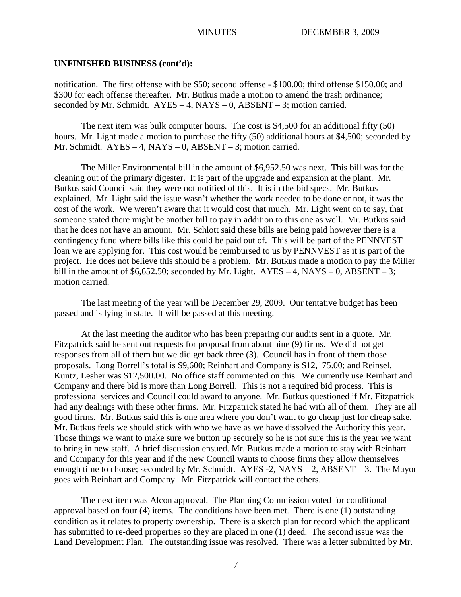notification. The first offense with be \$50; second offense - \$100.00; third offense \$150.00; and \$300 for each offense thereafter. Mr. Butkus made a motion to amend the trash ordinance; seconded by Mr. Schmidt.  $AYES - 4$ ,  $NAYS - 0$ ,  $ABSENT - 3$ ; motion carried.

The next item was bulk computer hours. The cost is \$4,500 for an additional fifty (50) hours. Mr. Light made a motion to purchase the fifty (50) additional hours at \$4,500; seconded by Mr. Schmidt. AYES – 4, NAYS – 0, ABSENT – 3; motion carried.

The Miller Environmental bill in the amount of \$6,952.50 was next. This bill was for the cleaning out of the primary digester. It is part of the upgrade and expansion at the plant. Mr. Butkus said Council said they were not notified of this. It is in the bid specs. Mr. Butkus explained. Mr. Light said the issue wasn't whether the work needed to be done or not, it was the cost of the work. We weren't aware that it would cost that much. Mr. Light went on to say, that someone stated there might be another bill to pay in addition to this one as well. Mr. Butkus said that he does not have an amount. Mr. Schlott said these bills are being paid however there is a contingency fund where bills like this could be paid out of. This will be part of the PENNVEST loan we are applying for. This cost would be reimbursed to us by PENNVEST as it is part of the project. He does not believe this should be a problem. Mr. Butkus made a motion to pay the Miller bill in the amount of \$6,652.50; seconded by Mr. Light.  $AYES - 4$ ,  $NAYS - 0$ ,  $ABSENT - 3$ ; motion carried.

The last meeting of the year will be December 29, 2009. Our tentative budget has been passed and is lying in state. It will be passed at this meeting.

At the last meeting the auditor who has been preparing our audits sent in a quote. Mr. Fitzpatrick said he sent out requests for proposal from about nine (9) firms. We did not get responses from all of them but we did get back three (3). Council has in front of them those proposals. Long Borrell's total is \$9,600; Reinhart and Company is \$12,175.00; and Reinsel, Kuntz, Lesher was \$12,500.00. No office staff commented on this. We currently use Reinhart and Company and there bid is more than Long Borrell. This is not a required bid process. This is professional services and Council could award to anyone. Mr. Butkus questioned if Mr. Fitzpatrick had any dealings with these other firms. Mr. Fitzpatrick stated he had with all of them. They are all good firms. Mr. Butkus said this is one area where you don't want to go cheap just for cheap sake. Mr. Butkus feels we should stick with who we have as we have dissolved the Authority this year. Those things we want to make sure we button up securely so he is not sure this is the year we want to bring in new staff. A brief discussion ensued. Mr. Butkus made a motion to stay with Reinhart and Company for this year and if the new Council wants to choose firms they allow themselves enough time to choose; seconded by Mr. Schmidt.  $AYES - 2$ ,  $NAYS - 2$ ,  $ABSENT - 3$ . The Mayor goes with Reinhart and Company. Mr. Fitzpatrick will contact the others.

The next item was Alcon approval. The Planning Commission voted for conditional approval based on four (4) items. The conditions have been met. There is one (1) outstanding condition as it relates to property ownership. There is a sketch plan for record which the applicant has submitted to re-deed properties so they are placed in one (1) deed. The second issue was the Land Development Plan. The outstanding issue was resolved. There was a letter submitted by Mr.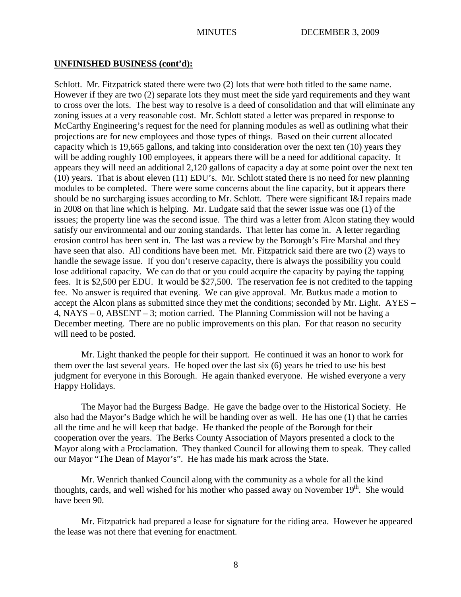Schlott. Mr. Fitzpatrick stated there were two  $(2)$  lots that were both titled to the same name. However if they are two (2) separate lots they must meet the side yard requirements and they want to cross over the lots. The best way to resolve is a deed of consolidation and that will eliminate any zoning issues at a very reasonable cost. Mr. Schlott stated a letter was prepared in response to McCarthy Engineering's request for the need for planning modules as well as outlining what their projections are for new employees and those types of things. Based on their current allocated capacity which is 19,665 gallons, and taking into consideration over the next ten (10) years they will be adding roughly 100 employees, it appears there will be a need for additional capacity. It appears they will need an additional 2,120 gallons of capacity a day at some point over the next ten (10) years. That is about eleven (11) EDU's. Mr. Schlott stated there is no need for new planning modules to be completed. There were some concerns about the line capacity, but it appears there should be no surcharging issues according to Mr. Schlott. There were significant I&I repairs made in 2008 on that line which is helping. Mr. Ludgate said that the sewer issue was one (1) of the issues; the property line was the second issue. The third was a letter from Alcon stating they would satisfy our environmental and our zoning standards. That letter has come in. A letter regarding erosion control has been sent in. The last was a review by the Borough's Fire Marshal and they have seen that also. All conditions have been met. Mr. Fitzpatrick said there are two (2) ways to handle the sewage issue. If you don't reserve capacity, there is always the possibility you could lose additional capacity. We can do that or you could acquire the capacity by paying the tapping fees. It is \$2,500 per EDU. It would be \$27,500. The reservation fee is not credited to the tapping fee. No answer is required that evening. We can give approval. Mr. Butkus made a motion to accept the Alcon plans as submitted since they met the conditions; seconded by Mr. Light. AYES – 4, NAYS – 0, ABSENT – 3; motion carried. The Planning Commission will not be having a December meeting. There are no public improvements on this plan. For that reason no security will need to be posted.

Mr. Light thanked the people for their support. He continued it was an honor to work for them over the last several years. He hoped over the last six (6) years he tried to use his best judgment for everyone in this Borough. He again thanked everyone. He wished everyone a very Happy Holidays.

The Mayor had the Burgess Badge. He gave the badge over to the Historical Society. He also had the Mayor's Badge which he will be handing over as well. He has one (1) that he carries all the time and he will keep that badge. He thanked the people of the Borough for their cooperation over the years. The Berks County Association of Mayors presented a clock to the Mayor along with a Proclamation. They thanked Council for allowing them to speak. They called our Mayor "The Dean of Mayor's". He has made his mark across the State.

Mr. Wenrich thanked Council along with the community as a whole for all the kind thoughts, cards, and well wished for his mother who passed away on November  $19<sup>th</sup>$ . She would have been 90.

Mr. Fitzpatrick had prepared a lease for signature for the riding area. However he appeared the lease was not there that evening for enactment.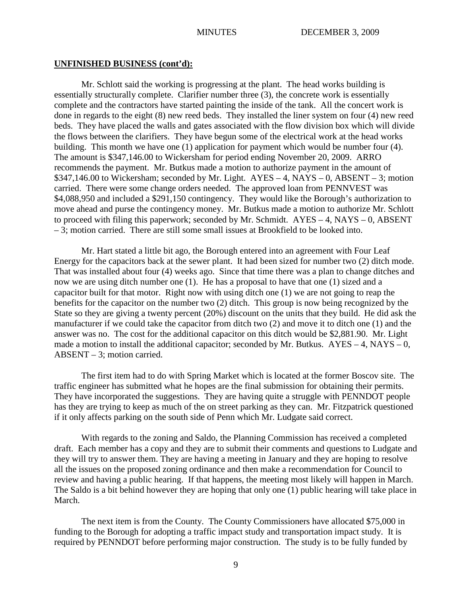Mr. Schlott said the working is progressing at the plant. The head works building is essentially structurally complete. Clarifier number three (3), the concrete work is essentially complete and the contractors have started painting the inside of the tank. All the concert work is done in regards to the eight (8) new reed beds. They installed the liner system on four (4) new reed beds. They have placed the walls and gates associated with the flow division box which will divide the flows between the clarifiers. They have begun some of the electrical work at the head works building. This month we have one (1) application for payment which would be number four (4). The amount is \$347,146.00 to Wickersham for period ending November 20, 2009. ARRO recommends the payment. Mr. Butkus made a motion to authorize payment in the amount of  $$347,146.00$  to Wickersham; seconded by Mr. Light.  $AYES - 4$ ,  $NAYS - 0$ ,  $ABSENT - 3$ ; motion carried. There were some change orders needed. The approved loan from PENNVEST was \$4,088,950 and included a \$291,150 contingency. They would like the Borough's authorization to move ahead and purse the contingency money. Mr. Butkus made a motion to authorize Mr. Schlott to proceed with filing this paperwork; seconded by Mr. Schmidt. AYES – 4, NAYS – 0, ABSENT – 3; motion carried. There are still some small issues at Brookfield to be looked into.

Mr. Hart stated a little bit ago, the Borough entered into an agreement with Four Leaf Energy for the capacitors back at the sewer plant. It had been sized for number two (2) ditch mode. That was installed about four (4) weeks ago. Since that time there was a plan to change ditches and now we are using ditch number one (1). He has a proposal to have that one (1) sized and a capacitor built for that motor. Right now with using ditch one (1) we are not going to reap the benefits for the capacitor on the number two (2) ditch. This group is now being recognized by the State so they are giving a twenty percent (20%) discount on the units that they build. He did ask the manufacturer if we could take the capacitor from ditch two (2) and move it to ditch one (1) and the answer was no. The cost for the additional capacitor on this ditch would be \$2,881.90. Mr. Light made a motion to install the additional capacitor; seconded by Mr. Butkus.  $AYES - 4$ ,  $NAYS - 0$ , ABSENT – 3; motion carried.

The first item had to do with Spring Market which is located at the former Boscov site. The traffic engineer has submitted what he hopes are the final submission for obtaining their permits. They have incorporated the suggestions. They are having quite a struggle with PENNDOT people has they are trying to keep as much of the on street parking as they can. Mr. Fitzpatrick questioned if it only affects parking on the south side of Penn which Mr. Ludgate said correct.

With regards to the zoning and Saldo, the Planning Commission has received a completed draft. Each member has a copy and they are to submit their comments and questions to Ludgate and they will try to answer them. They are having a meeting in January and they are hoping to resolve all the issues on the proposed zoning ordinance and then make a recommendation for Council to review and having a public hearing. If that happens, the meeting most likely will happen in March. The Saldo is a bit behind however they are hoping that only one (1) public hearing will take place in March.

The next item is from the County. The County Commissioners have allocated \$75,000 in funding to the Borough for adopting a traffic impact study and transportation impact study. It is required by PENNDOT before performing major construction. The study is to be fully funded by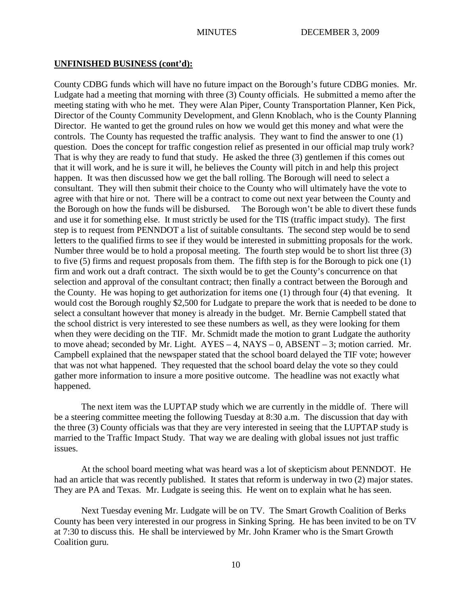County CDBG funds which will have no future impact on the Borough's future CDBG monies. Mr. Ludgate had a meeting that morning with three (3) County officials. He submitted a memo after the meeting stating with who he met. They were Alan Piper, County Transportation Planner, Ken Pick, Director of the County Community Development, and Glenn Knoblach, who is the County Planning Director. He wanted to get the ground rules on how we would get this money and what were the controls. The County has requested the traffic analysis. They want to find the answer to one (1) question. Does the concept for traffic congestion relief as presented in our official map truly work? That is why they are ready to fund that study. He asked the three (3) gentlemen if this comes out that it will work, and he is sure it will, he believes the County will pitch in and help this project happen. It was then discussed how we get the ball rolling. The Borough will need to select a consultant. They will then submit their choice to the County who will ultimately have the vote to agree with that hire or not. There will be a contract to come out next year between the County and the Borough on how the funds will be disbursed. The Borough won't be able to divert these funds and use it for something else. It must strictly be used for the TIS (traffic impact study). The first step is to request from PENNDOT a list of suitable consultants. The second step would be to send letters to the qualified firms to see if they would be interested in submitting proposals for the work. Number three would be to hold a proposal meeting. The fourth step would be to short list three (3) to five (5) firms and request proposals from them. The fifth step is for the Borough to pick one (1) firm and work out a draft contract. The sixth would be to get the County's concurrence on that selection and approval of the consultant contract; then finally a contract between the Borough and the County. He was hoping to get authorization for items one (1) through four (4) that evening. It would cost the Borough roughly \$2,500 for Ludgate to prepare the work that is needed to be done to select a consultant however that money is already in the budget. Mr. Bernie Campbell stated that the school district is very interested to see these numbers as well, as they were looking for them when they were deciding on the TIF. Mr. Schmidt made the motion to grant Ludgate the authority to move ahead; seconded by Mr. Light.  $AYES - 4$ ,  $NAYS - 0$ ,  $ABSENT - 3$ ; motion carried. Mr. Campbell explained that the newspaper stated that the school board delayed the TIF vote; however that was not what happened. They requested that the school board delay the vote so they could gather more information to insure a more positive outcome. The headline was not exactly what happened.

The next item was the LUPTAP study which we are currently in the middle of. There will be a steering committee meeting the following Tuesday at 8:30 a.m. The discussion that day with the three (3) County officials was that they are very interested in seeing that the LUPTAP study is married to the Traffic Impact Study. That way we are dealing with global issues not just traffic issues.

At the school board meeting what was heard was a lot of skepticism about PENNDOT. He had an article that was recently published. It states that reform is underway in two (2) major states. They are PA and Texas. Mr. Ludgate is seeing this. He went on to explain what he has seen.

Next Tuesday evening Mr. Ludgate will be on TV. The Smart Growth Coalition of Berks County has been very interested in our progress in Sinking Spring. He has been invited to be on TV at 7:30 to discuss this. He shall be interviewed by Mr. John Kramer who is the Smart Growth Coalition guru.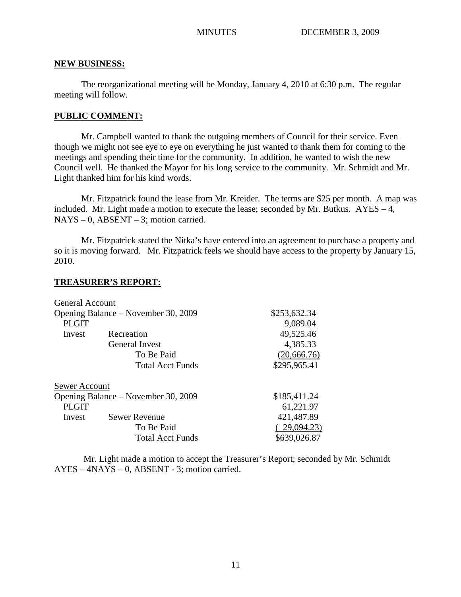#### **NEW BUSINESS:**

The reorganizational meeting will be Monday, January 4, 2010 at 6:30 p.m. The regular meeting will follow.

#### **PUBLIC COMMENT:**

Mr. Campbell wanted to thank the outgoing members of Council for their service. Even though we might not see eye to eye on everything he just wanted to thank them for coming to the meetings and spending their time for the community. In addition, he wanted to wish the new Council well. He thanked the Mayor for his long service to the community. Mr. Schmidt and Mr. Light thanked him for his kind words.

Mr. Fitzpatrick found the lease from Mr. Kreider. The terms are \$25 per month. A map was included. Mr. Light made a motion to execute the lease; seconded by Mr. Butkus.  $AYES - 4$ ,  $NAYS - 0$ ,  $ABSENT - 3$ ; motion carried.

Mr. Fitzpatrick stated the Nitka's have entered into an agreement to purchase a property and so it is moving forward. Mr. Fitzpatrick feels we should have access to the property by January 15, 2010.

#### **TREASURER'S REPORT:**

| <b>General Account</b>              |                         |              |
|-------------------------------------|-------------------------|--------------|
| Opening Balance – November 30, 2009 |                         | \$253,632.34 |
| <b>PLGIT</b>                        |                         | 9,089.04     |
| Invest                              | Recreation              | 49,525.46    |
|                                     | General Invest          | 4,385.33     |
|                                     | To Be Paid              | (20, 666.76) |
|                                     | <b>Total Acct Funds</b> | \$295,965.41 |
| Sewer Account                       |                         |              |
| Opening Balance – November 30, 2009 |                         | \$185,411.24 |
| <b>PLGIT</b>                        |                         | 61,221.97    |
| Invest                              | <b>Sewer Revenue</b>    | 421,487.89   |
|                                     | To Be Paid              | 29,094.23)   |
|                                     | <b>Total Acct Funds</b> | \$639,026.87 |
|                                     |                         |              |

Mr. Light made a motion to accept the Treasurer's Report; seconded by Mr. Schmidt AYES – 4NAYS – 0, ABSENT - 3; motion carried.